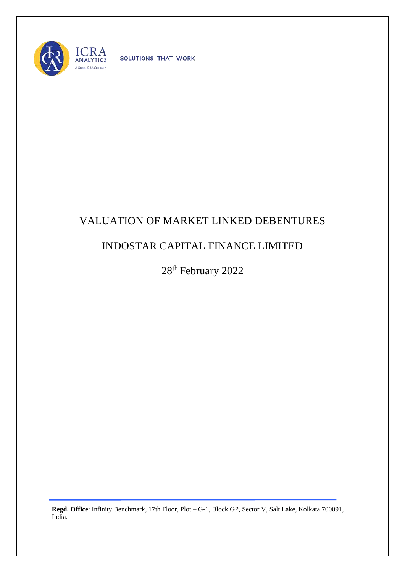

SOLUTIONS THAT WORK

## VALUATION OF MARKET LINKED DEBENTURES

## INDOSTAR CAPITAL FINANCE LIMITED

28<sup>th</sup> February 2022

**Regd. Office**: Infinity Benchmark, 17th Floor, Plot – G-1, Block GP, Sector V, Salt Lake, Kolkata 700091, India.